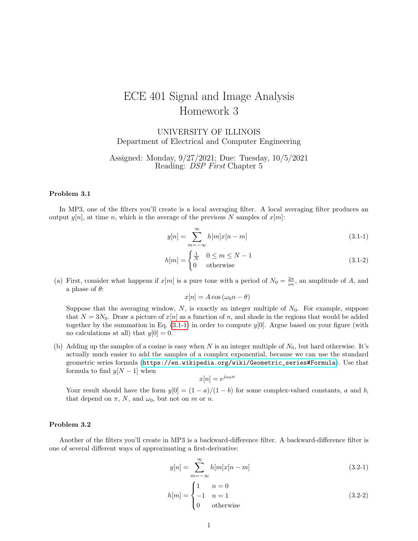## ECE 401 Signal and Image Analysis Homework 3

UNIVERSITY OF ILLINOIS Department of Electrical and Computer Engineering

Assigned: Monday, 9/27/2021; Due: Tuesday, 10/5/2021 Reading: DSP First Chapter 5

## Problem 3.1

In MP3, one of the filters you'll create is a local averaging filter. A local averaging filter produces an output  $y[n]$ , at time n, which is the average of the previous N samples of  $x[m]$ :

$$
y[n] = \sum_{m = -\infty}^{\infty} h[m]x[n-m]
$$
\n(3.1-1)

$$
h[m] = \begin{cases} \frac{1}{N} & 0 \le m \le N - 1 \\ 0 & \text{otherwise} \end{cases}
$$
 (3.1-2)

(a) First, consider what happens if  $x[m]$  is a pure tone with a period of  $N_0 = \frac{2\pi}{\omega_0}$ , an amplitude of A, and a phase of  $\theta$ :

<span id="page-0-0"></span> $x[n] = A \cos (\omega_0 n - \theta)$ 

Suppose that the averaging window,  $N$ , is exactly an integer multiple of  $N_0$ . For example, suppose that  $N = 3N_0$ . Draw a picture of  $x[n]$  as a function of n, and shade in the regions that would be added together by the summation in Eq.  $(3.1-1)$  in order to compute  $y[0]$ . Argue based on your figure (with no calculations at all) that  $y[0] = 0$ .

(b) Adding up the samples of a cosine is easy when N is an integer multiple of  $N_0$ , but hard otherwise. It's actually much easier to add the samples of a complex exponential, because we can use the standard geometric series formula ([https://en.wikipedia.org/wiki/Geometric\\_series#Formula](https://en.wikipedia.org/wiki/Geometric_series#Formula)). Use that formula to find  $y[N-1]$  when

$$
x[n] = e^{j\omega_0 n}
$$

Your result should have the form  $y[0] = (1 - a)/(1 - b)$  for some complex-valued constants, a and b, that depend on  $\pi$ , N, and  $\omega_0$ , but not on m or n.

## Problem 3.2

Another of the filters you'll create in MP3 is a backward-difference filter. A backward-difference filter is one of several different ways of approximating a first-derivative:

$$
y[n] = \sum_{m = -\infty}^{\infty} h[m]x[n-m]
$$
\n(3.2-1)

$$
h[m] = \begin{cases} 1 & n = 0 \\ -1 & n = 1 \\ 0 & \text{otherwise} \end{cases}
$$
 (3.2-2)